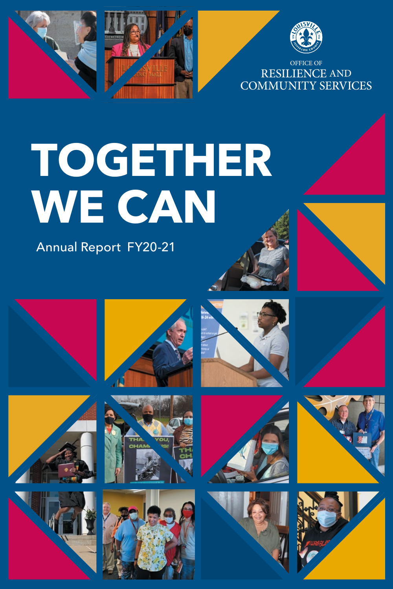





OFFICE OF RESILIENCE AND COMMUNITY SERVICES

# **TOGETHER WE CAN**

Annual Report FY20-21























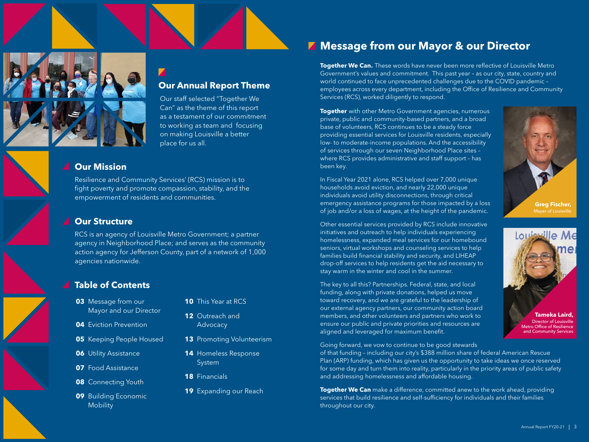

### **Our Annual Report Theme**

Our staff selected "Together We Can" as the theme of this report as a testament of our commitment to working as team and focusing on making Louisville a better place for us all.

### **Our Mission**

Resilience and Community Services' (RCS) mission is to fight poverty and promote compassion, stability, and the empowerment of residents and communities.

### **Our Structure**

RCS is an agency of Louisville Metro Government; a partner agency in Neighborhood Place; and serves as the community action agency for Jefferson County, part of a network of 1,000 agencies nationwide.

### **Table of Contents**

- **03** Message from our Mayor and our Director
- **04** Eviction Prevention
- **05** Keeping People Housed
- **06** Utility Assistance
- **07** Food Assistance
- **08** Connecting Youth
- **09** Building Economic **Mobility**
- **10** This Year at RCS
- **12** Outreach and **Advocacy**
- **13** Promoting Volunteerism
- **14** Homeless Response System
- **18** Financials
- **19** Expanding our Reach

### **Message from our Mayor & our Director**

**Together We Can.** These words have never been more reflective of Louisville Metro Government's values and commitment. This past year – as our city, state, country and world continued to face unprecedented challenges due to the COVID pandemic – employees across every department, including the Office of Resilience and Community Services (RCS), worked diligently to respond.

**Together** with other Metro Government agencies, numerous private, public and community-based partners, and a broad base of volunteers, RCS continues to be a steady force providing essential services for Louisville residents, especially low- to moderate-income populations. And the accessibility of services through our seven Neighborhood Place sites – where RCS provides administrative and staff support – has been key.

In Fiscal Year 2021 alone, RCS helped over 7,000 unique households avoid eviction, and nearly 22,000 unique individuals avoid utility disconnections, through critical emergency assistance programs for those impacted by a loss of job and/or a loss of wages, at the height of the pandemic.

Other essential services provided by RCS include innovative initiatives and outreach to help individuals experiencing homelessness, expanded meal services for our homebound seniors, virtual workshops and counseling services to help families build financial stability and security, and LIHEAP drop-off services to help residents get the aid necessary to stay warm in the winter and cool in the summer.

The key to all this? Partnerships. Federal, state, and local funding, along with private donations, helped us move toward recovery, and we are grateful to the leadership of our external agency partners, our community action board members, and other volunteers and partners who work to ensure our public and private priorities and resources are aligned and leveraged for maximum benefit.

Going forward, we vow to continue to be good stewards

of that funding – including our city's \$388 million share of federal American Rescue Plan (ARP) funding, which has given us the opportunity to take ideas we once reserved for some day and turn them into reality, particularly in the priority areas of public safety and addressing homelessness and affordable housing.

**Together We Can** make a difference, committed anew to the work ahead, providing services that build resilience and self-sufficiency for individuals and their families throughout our city.



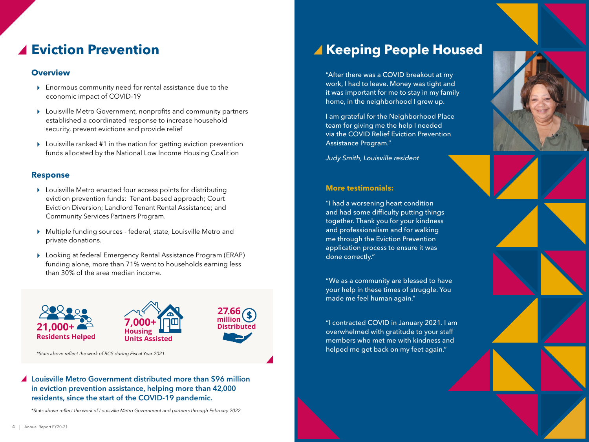### **Eviction Prevention**

#### **Overview**

- Enormous community need for rental assistance due to the economic impact of COVID-19
- Louisville Metro Government, nonprofits and community partners established a coordinated response to increase household security, prevent evictions and provide relief
- Louisville ranked #1 in the nation for getting eviction prevention funds allocated by the National Low Income Housing Coalition

### **Response**

- Louisville Metro enacted four access points for distributing eviction prevention funds: Tenant-based approach; Court Eviction Diversion; Landlord Tenant Rental Assistance; and Community Services Partners Program.
- Multiple funding sources federal, state, Louisville Metro and private donations.
- Looking at federal Emergency Rental Assistance Program (ERAP) funding alone, more than 71% went to households earning less than 30% of the area median income.



*\*Stats above reflect the work of RCS during Fiscal Year 2021*

### Louisville Metro Government distributed more than \$96 million in eviction prevention assistance, helping more than 42,000 residents, since the start of the COVID-19 pandemic.

*\*Stats above reflect the work of Louisville Metro Government and partners through February 2022.*

# **Keeping People Housed**

"After there was a COVID breakout at my work, I had to leave. Money was tight and it was important for me to stay in my family home, in the neighborhood I grew up.

I am grateful for the Neighborhood Place team for giving me the help I needed via the COVID Relief Eviction Prevention Assistance Program."

*Judy Smith, Louisville resident*

#### **More testimonials:**

"I had a worsening heart condition and had some difficulty putting things together. Thank you for your kindness and professionalism and for walking me through the Eviction Prevention application process to ensure it was done correctly."

"We as a community are blessed to have your help in these times of struggle. You made me feel human again."

"I contracted COVID in January 2021. I am overwhelmed with gratitude to your staff members who met me with kindness and helped me get back on my feet again."

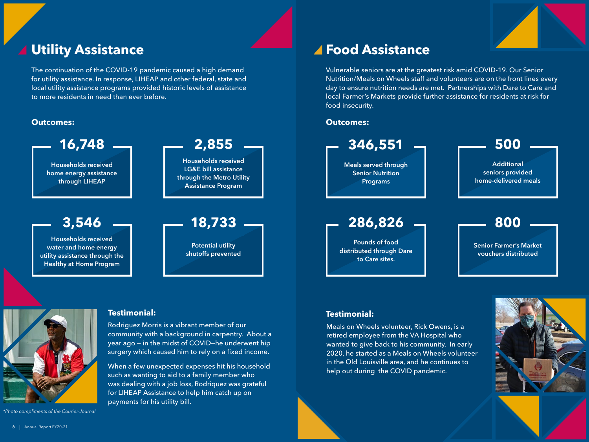# **Utility Assistance**

The continuation of the COVID-19 pandemic caused a high demand for utility assistance. In response, LIHEAP and other federal, state and local utility assistance programs provided historic levels of assistance to more residents in need than ever before.





Rodriguez Morris is a vibrant member of our community with a background in carpentry. About a year ago — in the midst of COVID—he underwent hip surgery which caused him to rely on a fixed income.

When a few unexpected expenses hit his household such as wanting to aid to a family member who was dealing with a job loss, Rodriquez was grateful for LIHEAP Assistance to help him catch up on payments for his utility bill.

### **Food Assistance**

Vulnerable seniors are at the greatest risk amid COVID-19. Our Senior Nutrition/Meals on Wheels staff and volunteers are on the front lines every day to ensure nutrition needs are met. Partnerships with Dare to Care and local Farmer's Markets provide further assistance for residents at risk for food insecurity.



### **Testimonial: Testimonial:**

Meals on Wheels volunteer, Rick Owens, is a retired employee from the VA Hospital who wanted to give back to his community. In early 2020, he started as a Meals on Wheels volunteer in the Old Louisville area, and he continues to help out during the COVID pandemic.



*\*Photo compliments of the Courier-Journal*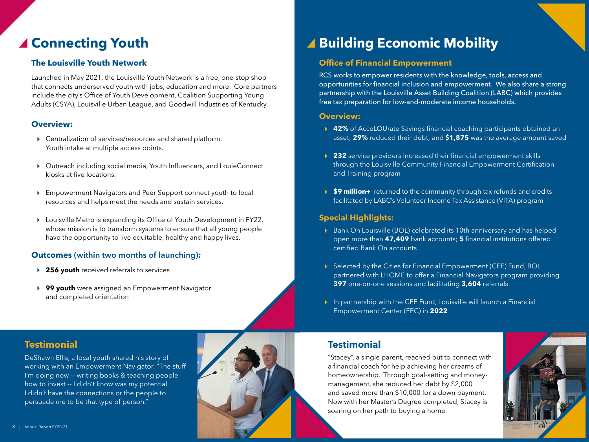### ▲ Connecting Youth

### **The Louisville Youth Network**

Launched in May 2021, the Louisville Youth Network is a free, one-stop shop that connects underserved youth with jobs, education and more. Core partners include the city's Office of Youth Development, Coalition Supporting Young Adults (CSYA), Louisville Urban League, and Goodwill Industries of Kentucky.

### **Overview:**

- Centralization of services/resources and shared platform. Youth intake at multiple access points.
- Outreach including social media, Youth Influencers, and LouieConnect kiosks at five locations.
- Empowerment Navigators and Peer Support connect youth to local resources and helps meet the needs and sustain services.
- Louisville Metro is expanding its Office of Youth Development in FY22, whose mission is to transform systems to ensure that all young people have the opportunity to live equitable, healthy and happy lives.

### **Outcomes** (within two months of launching)**:**

- **256 youth** received referrals to services
- **99 youth** were assigned an Empowerment Navigator and completed orientation

### **Testimonial**

DeShawn Ellis, a local youth shared his story of working with an Empowerment Navigator. "The stuff I'm doing now -- writing books & teaching people how to invest -- I didn't know was my potential. I didn't have the connections or the people to persuade me to be that type of person."



### ▲ Building Economic Mobility

### **Office of Financial Empowerment**

RCS works to empower residents with the knowledge, tools, access and opportunities for financial inclusion and empowerment. We also share a strong partnership with the Louisville Asset Building Coalition (LABC) which provides free tax preparation for low-and-moderate income households.

#### **Overview:**

- **42%** of AcceLOUrate Savings financial coaching participants obtained an asset; **29%** reduced their debt; and **\$1,875** was the average amount saved
- **232** service providers increased their financial empowerment skills through the Louisville Community Financial Empowerment Certification and Training program
- **★ \$9 million+** returned to the community through tax refunds and credits facilitated by LABC's Volunteer Income Tax Assistance (VITA) program

### **Special Highlights:**

- ▶ Bank On Louisville (BOL) celebrated its 10th anniversary and has helped open more than **47,409** bank accounts; **5** financial institutions offered certified Bank On accounts
- Selected by the Cities for Financial Empowerment (CFE) Fund, BOL partnered with LHOME to offer a Financial Navigators program providing **397** one-on-one sessions and facilitating **3,604** referrals
- $\triangleright$  In partnership with the CFE Fund, Louisville will launch a Financial Empowerment Center (FEC) in **2022**

### **Testimonial**

"Stacey", a single parent, reached out to connect with a financial coach for help achieving her dreams of homeownership. Through goal-setting and moneymanagement, she reduced her debt by \$2,000 and saved more than \$10,000 for a down payment. Now with her Master's Degree completed, Stacey is soaring on her path to buying a home.

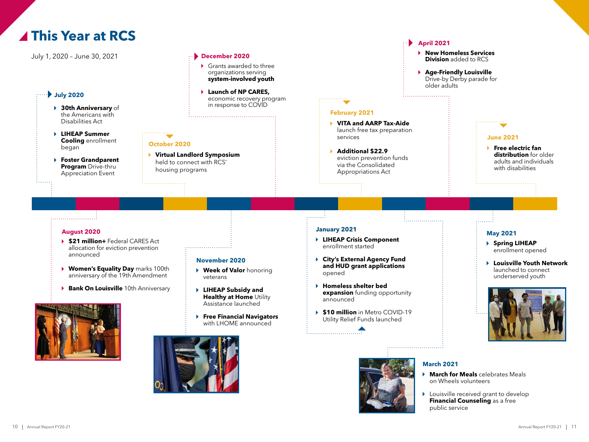





#### **March 2021**

- **March for Meals** celebrates Meals on Wheels volunteers
- **Louisville received grant to develop Financial Counseling** as a free public service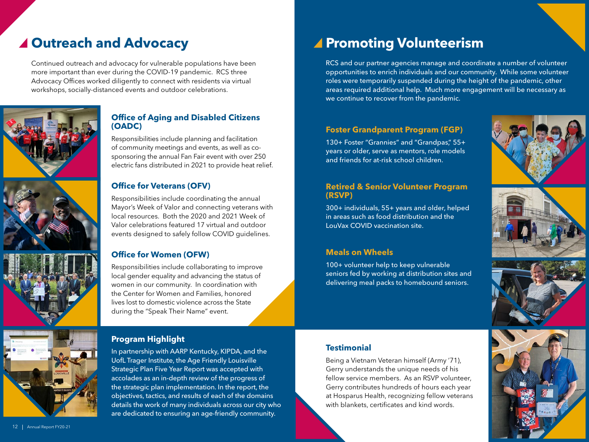Continued outreach and advocacy for vulnerable populations have been more important than ever during the COVID-19 pandemic. RCS three Advocacy Offices worked diligently to connect with residents via virtual workshops, socially-distanced events and outdoor celebrations.



### **Office of Aging and Disabled Citizens (OADC)**

Responsibilities include planning and facilitation of community meetings and events, as well as cosponsoring the annual Fan Fair event with over 250 electric fans distributed in 2021 to provide heat relief.

### **Office for Veterans (OFV)**

Responsibilities include coordinating the annual Mayor's Week of Valor and connecting veterans with local resources. Both the 2020 and 2021 Week of Valor celebrations featured 17 virtual and outdoor events designed to safely follow COVID guidelines.

### **Office for Women (OFW)**

Responsibilities include collaborating to improve local gender equality and advancing the status of women in our community. In coordination with the Center for Women and Families, honored lives lost to domestic violence across the State during the "Speak Their Name" event.



In partnership with AARP Kentucky, KIPDA, and the UofL Trager Institute, the Age Friendly Louisville Strategic Plan Five Year Report was accepted with accolades as an in-depth review of the progress of the strategic plan implementation. In the report, the objectives, tactics, and results of each of the domains details the work of many individuals across our city who are dedicated to ensuring an age-friendly community.

### ▲ Outreach and Advocacy **Promoting Volunteerism**

RCS and our partner agencies manage and coordinate a number of volunteer opportunities to enrich individuals and our community. While some volunteer roles were temporarily suspended during the height of the pandemic, other areas required additional help. Much more engagement will be necessary as we continue to recover from the pandemic.

### **Foster Grandparent Program (FGP)**

130+ Foster "Grannies" and "Grandpas," 55+ years or older, serve as mentors, role models and friends for at-risk school children.

#### **Retired & Senior Volunteer Program (RSVP)**

300+ individuals, 55+ years and older, helped in areas such as food distribution and the LouVax COVID vaccination site.

### **Meals on Wheels**

100+ volunteer help to keep vulnerable seniors fed by working at distribution sites and delivering meal packs to homebound seniors.





### **Testimonial**

Being a Vietnam Veteran himself (Army '71), Gerry understands the unique needs of his fellow service members. As an RSVP volunteer, Gerry contributes hundreds of hours each year at Hosparus Health, recognizing fellow veterans with blankets, certificates and kind words.

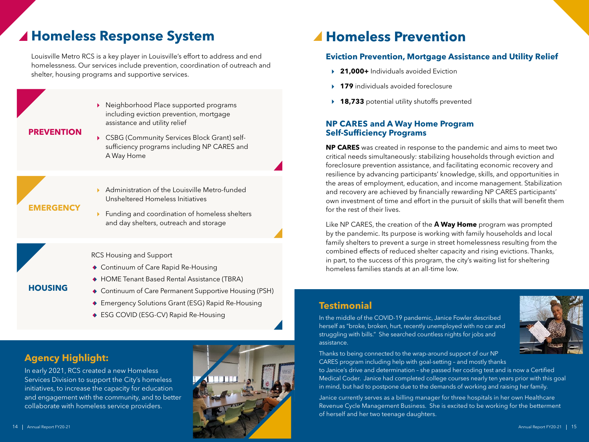### **Homeless Response System**

Louisville Metro RCS is a key player in Louisville's effort to address and end homelessness. Our services include prevention, coordination of outreach and shelter, housing programs and supportive services.



#### **PREVENTION**

- ▶ CSBG (Community Services Block Grant) selfsufficiency programs including NP CARES and A Way Home
- **EMERGENCY**

**HOUSING**

- Administration of the Louisville Metro-funded Unsheltered Homeless Initiatives
- ▶ Funding and coordination of homeless shelters and day shelters, outreach and storage

RCS Housing and Support

- Continuum of Care Rapid Re-Housing
- ◆ HOME Tenant Based Rental Assistance (TBRA)
- Continuum of Care Permanent Supportive Housing (PSH)
- Emergency Solutions Grant (ESG) Rapid Re-Housing
- ◆ ESG COVID (ESG-CV) Rapid Re-Housing

### **Agency Highlight:**

In early 2021, RCS created a new Homeless Services Division to support the City's homeless initiatives, to increase the capacity for education and engagement with the community, and to better collaborate with homeless service providers.



### **Homeless Prevention**

### **Eviction Prevention, Mortgage Assistance and Utility Relief**

- **21,000+** Individuals avoided Eviction
- **179** individuals avoided foreclosure
- **18,733** potential utility shutoffs prevented

### **NP CARES and A Way Home Program Self-Sufficiency Programs**

**NP CARES** was created in response to the pandemic and aims to meet two critical needs simultaneously: stabilizing households through eviction and foreclosure prevention assistance, and facilitating economic recovery and resilience by advancing participants' knowledge, skills, and opportunities in the areas of employment, education, and income management. Stabilization and recovery are achieved by financially rewarding NP CARES participants' own investment of time and effort in the pursuit of skills that will benefit them for the rest of their lives.

Like NP CARES, the creation of the **A Way Home** program was prompted by the pandemic. Its purpose is working with family households and local family shelters to prevent a surge in street homelessness resulting from the combined effects of reduced shelter capacity and rising evictions. Thanks, in part, to the success of this program, the city's waiting list for sheltering homeless families stands at an all-time low.

### **Testimonial**

In the middle of the COVID-19 pandemic, Janice Fowler described herself as "broke, broken, hurt, recently unemployed with no car and struggling with bills." She searched countless nights for jobs and assistance.



Thanks to being connected to the wrap-around support of our NP CARES program including help with goal-setting – and mostly thanks

to Janice's drive and determination – she passed her coding test and is now a Certified Medical Coder. Janice had completed college courses nearly ten years prior with this goal in mind, but had to postpone due to the demands of working and raising her family.

Janice currently serves as a billing manager for three hospitals in her own Healthcare Revenue Cycle Management Business. She is excited to be working for the betterment of herself and her two teenage daughters.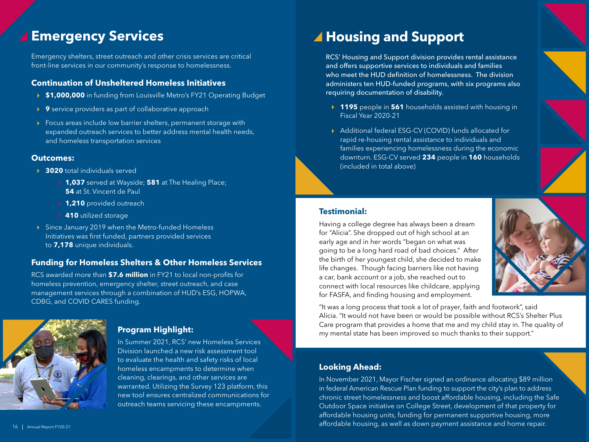### **Emergency Services**

Emergency shelters, street outreach and other crisis services are critical front-line services in our community's response to homelessness.

#### **Continuation of Unsheltered Homeless Initiatives**

- **\$1,000,000** in funding from Louisville Metro's FY21 Operating Budget
- **9** service providers as part of collaborative approach
- ▶ Focus areas include low barrier shelters, permanent storage with expanded outreach services to better address mental health needs, and homeless transportation services

#### **Outcomes:**

- **3020** total individuals served
	- **1,037** served at Wayside; **581** at The Healing Place; **54** at St. Vincent de Paul
	- **1,210** provided outreach
	- **410** utilized storage
- ▶ Since January 2019 when the Metro-funded Homeless Initiatives was first funded, partners provided services to **7,178** unique individuals.

### **Funding for Homeless Shelters & Other Homeless Services**

RCS awarded more than **\$7.6 million** in FY21 to local non-profits for homeless prevention, emergency shelter, street outreach, and case management services through a combination of HUD's ESG, HOPWA, CDBG, and COVID CARES funding.



### **Program Highlight:**

In Summer 2021, RCS' new Homeless Services Division launched a new risk assessment tool to evaluate the health and safety risks of local homeless encampments to determine when cleaning, clearings, and other services are warranted. Utilizing the Survey 123 platform, this new tool ensures centralized communications for outreach teams servicing these encampments.

# **Housing and Support**

RCS' Housing and Support division provides rental assistance and offers supportive services to individuals and families who meet the HUD definition of homelessness. The division administers ten HUD-funded programs, with six programs also requiring documentation of disability.

- **1195** people in **561** households assisted with housing in Fiscal Year 2020-21
- ▶ Additional federal ESG-CV (COVID) funds allocated for rapid re-housing rental assistance to individuals and families experiencing homelessness during the economic downturn. ESG-CV served **234** people in **160** households (included in total above)

#### **Testimonial:**

Having a college degree has always been a dream for "Alicia". She dropped out of high school at an early age and in her words "began on what was going to be a long hard road of bad choices." After the birth of her youngest child, she decided to make life changes. Though facing barriers like not having a car, bank account or a job, she reached out to connect with local resources like childcare, applying for FASFA, and finding housing and employment.



"It was a long process that took a lot of prayer, faith and footwork", said Alicia. "It would not have been or would be possible without RCS's Shelter Plus Care program that provides a home that me and my child stay in. The quality of my mental state has been improved so much thanks to their support."

### **Looking Ahead:**

16 | Annual Report FY20-21 **Annual Report FY20-21** 21 **Annual Report FY20-21** 21 Annual Report FY20-21 21 Annual Report FY20-21 21 Annual Report FY20-21 21 Annual Report FY20-21 21 Annual Report FY20-21 21 Annual Report FY In November 2021, Mayor Fischer signed an ordinance allocating \$89 million in federal American Rescue Plan funding to support the city's plan to address chronic street homelessness and boost affordable housing, including the Safe Outdoor Space initiative on College Street, development of that property for affordable housing units, funding for permanent supportive housing, more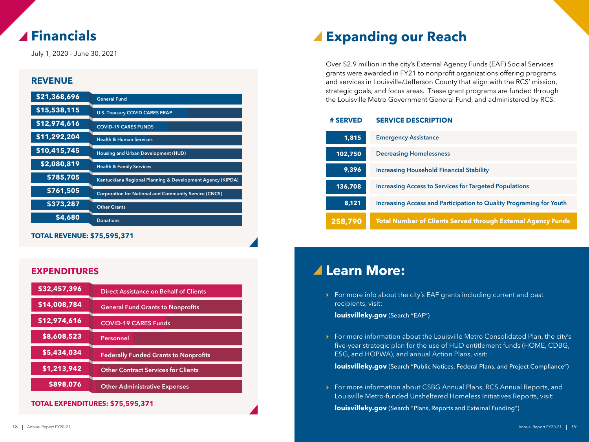### **Financials**

July 1, 2020 - June 30, 2021

### **REVENUE**

| \$21,368,696 | <b>General Fund</b>                                          |
|--------------|--------------------------------------------------------------|
| \$15,538,115 | <b>U.S. Treasury COVID CARES ERAP</b>                        |
| \$12,974,616 | <b>COVID-19 CARES FUNDS</b>                                  |
| \$11,292,204 | <b>Health &amp; Human Services</b>                           |
| \$10,415,745 | Housing and Urban Development (HUD)                          |
| \$2,080,819  | <b>Health &amp; Family Services</b>                          |
| \$785,705    | Kentuckiana Regional Planning & Development Agency (KIPDA)   |
| \$761,505    | <b>Corporation for National and Community Service (CNCS)</b> |
| \$373,287    | <b>Other Grants</b>                                          |
| \$4,680      | <b>Donations</b>                                             |

**TOTAL REVENUE: \$75,595,371**

### **EXPENDITURES**

| \$32,457,396 | Direct Assistance on Behalf of Clients       |
|--------------|----------------------------------------------|
| \$14,008,784 | <b>General Fund Grants to Nonprofits</b>     |
| \$12,974,616 | <b>COVID-19 CARES Funds</b>                  |
| \$8,608,523  | Personnel                                    |
| \$5,434,034  | <b>Federally Funded Grants to Nonprofits</b> |
| \$1,213,942  | <b>Other Contract Services for Clients</b>   |
| \$898,076    | <b>Other Administrative Expenses</b>         |

**TOTAL EXPENDITURES: \$75,595,371**

### **Expanding our Reach**

Over \$2.9 million in the city's External Agency Funds (EAF) Social Services grants were awarded in FY21 to nonprofit organizations offering programs and services in Louisville/Jefferson County that align with the RCS' mission, strategic goals, and focus areas. These grant programs are funded through the Louisville Metro Government General Fund, and administered by RCS.

#### **# SERVED SERVICE DESCRIPTION**

| 1,815   | <b>Emergency Assistance</b>                                         |
|---------|---------------------------------------------------------------------|
| 102,750 | <b>Decreasing Homelessness</b>                                      |
| 9,396   | <b>Increasing Household Financial Stability</b>                     |
| 136,708 | <b>Increasing Access to Services for Targeted Populations</b>       |
| 8.121   | Increasing Access and Participation to Quality Programing for Youth |
| 258,790 | <b>Total Number of Clients Served through External Agency Funds</b> |

### **Learn More:**

For more info about the city's EAF grants including current and past recipients, visit:

**louisvilleky.gov** (Search "EAF")

For more information about the Louisville Metro Consolidated Plan, the city's five-year strategic plan for the use of HUD entitlement funds (HOME, CDBG, ESG, and HOPWA), and annual Action Plans, visit:

**louisvilleky.gov** (Search "Public Notices, Federal Plans, and Project Compliance")

▶ For more information about CSBG Annual Plans, RCS Annual Reports, and Louisville Metro-funded Unsheltered Homeless Initiatives Reports, visit:

**louisvilleky.gov** (Search "Plans, Reports and External Funding")